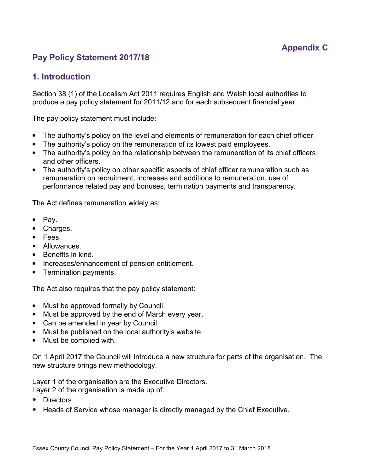# **Pay Policy Statement 2017/18**

# **1. Introduction**

Section 38 (1) of the Localism Act 2011 requires English and Welsh local authorities to produce a pay policy statement for 2011/12 and for each subsequent financial year.

The pay policy statement must include:

- The authority's policy on the level and elements of remuneration for each chief officer.
- The authority's policy on the remuneration of its lowest paid employees.
- The authority's policy on the relationship between the remuneration of its chief officers and other officers.
- The authority's policy on other specific aspects of chief officer remuneration such as remuneration on recruitment, increases and additions to remuneration, use of performance related pay and bonuses, termination payments and transparency.

The Act defines remuneration widely as:

- Pay.
- Charges.
- Fees.
- Allowances.
- Benefits in kind.
- Increases/enhancement of pension entitlement.
- Termination payments.

The Act also requires that the pay policy statement:

- Must be approved formally by Council.
- Must be approved by the end of March every year.
- Can be amended in year by Council.
- Must be published on the local authority's website.
- Must be complied with.

On 1 April 2017 the Council will introduce a new structure for parts of the organisation. The new structure brings new methodology.

Layer 1 of the organisation are the Executive Directors. Layer 2 of the organisation is made up of:

- Directors
- Heads of Service whose manager is directly managed by the Chief Executive.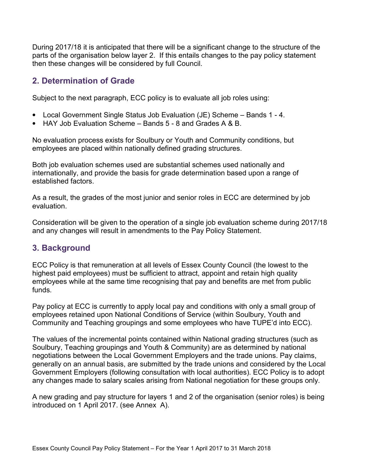During 2017/18 it is anticipated that there will be a significant change to the structure of the parts of the organisation below layer 2. If this entails changes to the pay policy statement then these changes will be considered by full Council.

## **2. Determination of Grade**

Subject to the next paragraph, ECC policy is to evaluate all job roles using:

- Local Government Single Status Job Evaluation (JE) Scheme Bands 1 4.
- HAY Job Evaluation Scheme Bands 5 8 and Grades A & B.

No evaluation process exists for Soulbury or Youth and Community conditions, but employees are placed within nationally defined grading structures.

Both job evaluation schemes used are substantial schemes used nationally and internationally, and provide the basis for grade determination based upon a range of established factors.

As a result, the grades of the most junior and senior roles in ECC are determined by job evaluation.

Consideration will be given to the operation of a single job evaluation scheme during 2017/18 and any changes will result in amendments to the Pay Policy Statement.

# **3. Background**

ECC Policy is that remuneration at all levels of Essex County Council (the lowest to the highest paid employees) must be sufficient to attract, appoint and retain high quality employees while at the same time recognising that pay and benefits are met from public funds.

Pay policy at ECC is currently to apply local pay and conditions with only a small group of employees retained upon National Conditions of Service (within Soulbury, Youth and Community and Teaching groupings and some employees who have TUPE'd into ECC).

The values of the incremental points contained within National grading structures (such as Soulbury, Teaching groupings and Youth & Community) are as determined by national negotiations between the Local Government Employers and the trade unions. Pay claims, generally on an annual basis, are submitted by the trade unions and considered by the Local Government Employers (following consultation with local authorities). ECC Policy is to adopt any changes made to salary scales arising from National negotiation for these groups only.

A new grading and pay structure for layers 1 and 2 of the organisation (senior roles) is being introduced on 1 April 2017. (see Annex A).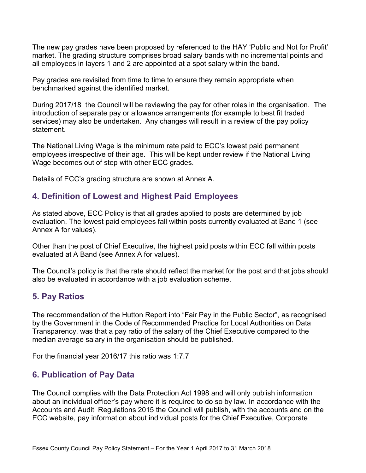The new pay grades have been proposed by referenced to the HAY 'Public and Not for Profit' market. The grading structure comprises broad salary bands with no incremental points and all employees in layers 1 and 2 are appointed at a spot salary within the band.

Pay grades are revisited from time to time to ensure they remain appropriate when benchmarked against the identified market.

During 2017/18 the Council will be reviewing the pay for other roles in the organisation. The introduction of separate pay or allowance arrangements (for example to best fit traded services) may also be undertaken. Any changes will result in a review of the pay policy statement.

The National Living Wage is the minimum rate paid to ECC's lowest paid permanent employees irrespective of their age. This will be kept under review if the National Living Wage becomes out of step with other ECC grades.

Details of ECC's grading structure are shown at Annex A.

## **4. Definition of Lowest and Highest Paid Employees**

As stated above, ECC Policy is that all grades applied to posts are determined by job evaluation. The lowest paid employees fall within posts currently evaluated at Band 1 (see Annex A for values).

Other than the post of Chief Executive, the highest paid posts within ECC fall within posts evaluated at A Band (see Annex A for values).

The Council's policy is that the rate should reflect the market for the post and that jobs should also be evaluated in accordance with a job evaluation scheme.

# **5. Pay Ratios**

The recommendation of the Hutton Report into "Fair Pay in the Public Sector", as recognised by the Government in the Code of Recommended Practice for Local Authorities on Data Transparency, was that a pay ratio of the salary of the Chief Executive compared to the median average salary in the organisation should be published.

For the financial year 2016/17 this ratio was 1:7.7

#### **6. Publication of Pay Data**

The Council complies with the Data Protection Act 1998 and will only publish information about an individual officer's pay where it is required to do so by law. In accordance with the Accounts and Audit Regulations 2015 the Council will publish, with the accounts and on the ECC website, pay information about individual posts for the Chief Executive, Corporate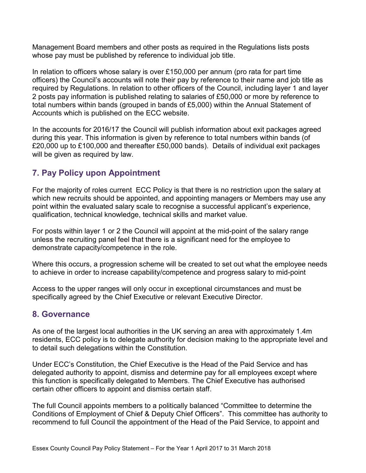Management Board members and other posts as required in the Regulations lists posts whose pay must be published by reference to individual job title.

In relation to officers whose salary is over £150,000 per annum (pro rata for part time officers) the Council's accounts will note their pay by reference to their name and job title as required by Regulations. In relation to other officers of the Council, including layer 1 and layer 2 posts pay information is published relating to salaries of £50,000 or more by reference to total numbers within bands (grouped in bands of £5,000) within the Annual Statement of Accounts which is published on the ECC website.

In the accounts for 2016/17 the Council will publish information about exit packages agreed during this year. This information is given by reference to total numbers within bands (of £20,000 up to £100,000 and thereafter £50,000 bands). Details of individual exit packages will be given as required by law.

# **7. Pay Policy upon Appointment**

For the majority of roles current ECC Policy is that there is no restriction upon the salary at which new recruits should be appointed, and appointing managers or Members may use any point within the evaluated salary scale to recognise a successful applicant's experience, qualification, technical knowledge, technical skills and market value.

For posts within layer 1 or 2 the Council will appoint at the mid-point of the salary range unless the recruiting panel feel that there is a significant need for the employee to demonstrate capacity/competence in the role.

Where this occurs, a progression scheme will be created to set out what the employee needs to achieve in order to increase capability/competence and progress salary to mid-point

Access to the upper ranges will only occur in exceptional circumstances and must be specifically agreed by the Chief Executive or relevant Executive Director.

# **8. Governance**

As one of the largest local authorities in the UK serving an area with approximately 1.4m residents, ECC policy is to delegate authority for decision making to the appropriate level and to detail such delegations within the Constitution.

Under ECC's Constitution, the Chief Executive is the Head of the Paid Service and has delegated authority to appoint, dismiss and determine pay for all employees except where this function is specifically delegated to Members. The Chief Executive has authorised certain other officers to appoint and dismiss certain staff.

The full Council appoints members to a politically balanced "Committee to determine the Conditions of Employment of Chief & Deputy Chief Officers". This committee has authority to recommend to full Council the appointment of the Head of the Paid Service, to appoint and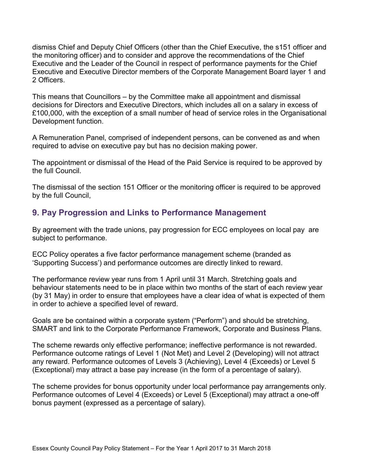dismiss Chief and Deputy Chief Officers (other than the Chief Executive, the s151 officer and the monitoring officer) and to consider and approve the recommendations of the Chief Executive and the Leader of the Council in respect of performance payments for the Chief Executive and Executive Director members of the Corporate Management Board layer 1 and 2 Officers.

This means that Councillors – by the Committee make all appointment and dismissal decisions for Directors and Executive Directors, which includes all on a salary in excess of £100,000, with the exception of a small number of head of service roles in the Organisational Development function.

A Remuneration Panel, comprised of independent persons, can be convened as and when required to advise on executive pay but has no decision making power.

The appointment or dismissal of the Head of the Paid Service is required to be approved by the full Council.

The dismissal of the section 151 Officer or the monitoring officer is required to be approved by the full Council,

# **9. Pay Progression and Links to Performance Management**

By agreement with the trade unions, pay progression for ECC employees on local pay are subject to performance.

ECC Policy operates a five factor performance management scheme (branded as 'Supporting Success') and performance outcomes are directly linked to reward.

The performance review year runs from 1 April until 31 March. Stretching goals and behaviour statements need to be in place within two months of the start of each review year (by 31 May) in order to ensure that employees have a clear idea of what is expected of them in order to achieve a specified level of reward.

Goals are be contained within a corporate system ("Perform") and should be stretching, SMART and link to the Corporate Performance Framework, Corporate and Business Plans.

The scheme rewards only effective performance; ineffective performance is not rewarded. Performance outcome ratings of Level 1 (Not Met) and Level 2 (Developing) will not attract any reward. Performance outcomes of Levels 3 (Achieving), Level 4 (Exceeds) or Level 5 (Exceptional) may attract a base pay increase (in the form of a percentage of salary).

The scheme provides for bonus opportunity under local performance pay arrangements only. Performance outcomes of Level 4 (Exceeds) or Level 5 (Exceptional) may attract a one-off bonus payment (expressed as a percentage of salary).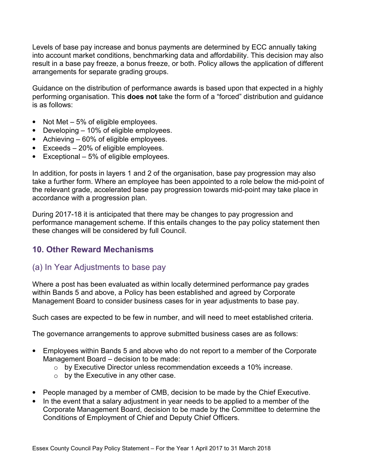Levels of base pay increase and bonus payments are determined by ECC annually taking into account market conditions, benchmarking data and affordability. This decision may also result in a base pay freeze, a bonus freeze, or both. Policy allows the application of different arrangements for separate grading groups.

Guidance on the distribution of performance awards is based upon that expected in a highly performing organisation. This **does not** take the form of a "forced" distribution and guidance is as follows:

- Not Met 5% of eligible employees.
- Developing 10% of eligible employees.
- Achieving 60% of eligible employees.
- Exceeds 20% of eligible employees.
- Exceptional 5% of eligible employees.

In addition, for posts in layers 1 and 2 of the organisation, base pay progression may also take a further form. Where an employee has been appointed to a role below the mid-point of the relevant grade, accelerated base pay progression towards mid-point may take place in accordance with a progression plan.

During 2017-18 it is anticipated that there may be changes to pay progression and performance management scheme. If this entails changes to the pay policy statement then these changes will be considered by full Council.

# **10. Other Reward Mechanisms**

#### (a) In Year Adjustments to base pay

Where a post has been evaluated as within locally determined performance pay grades within Bands 5 and above, a Policy has been established and agreed by Corporate Management Board to consider business cases for in year adjustments to base pay.

Such cases are expected to be few in number, and will need to meet established criteria.

The governance arrangements to approve submitted business cases are as follows:

- Employees within Bands 5 and above who do not report to a member of the Corporate Management Board – decision to be made:
	- o by Executive Director unless recommendation exceeds a 10% increase.
	- o by the Executive in any other case.
- People managed by a member of CMB, decision to be made by the Chief Executive.
- In the event that a salary adjustment in year needs to be applied to a member of the Corporate Management Board, decision to be made by the Committee to determine the Conditions of Employment of Chief and Deputy Chief Officers.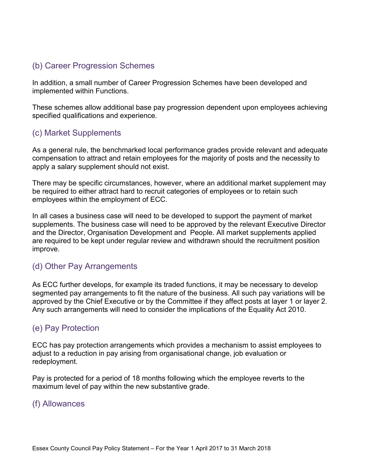# (b) Career Progression Schemes

In addition, a small number of Career Progression Schemes have been developed and implemented within Functions.

These schemes allow additional base pay progression dependent upon employees achieving specified qualifications and experience.

## (c) Market Supplements

As a general rule, the benchmarked local performance grades provide relevant and adequate compensation to attract and retain employees for the majority of posts and the necessity to apply a salary supplement should not exist.

There may be specific circumstances, however, where an additional market supplement may be required to either attract hard to recruit categories of employees or to retain such employees within the employment of ECC.

In all cases a business case will need to be developed to support the payment of market supplements. The business case will need to be approved by the relevant Executive Director and the Director, Organisation Development and People. All market supplements applied are required to be kept under regular review and withdrawn should the recruitment position improve.

#### (d) Other Pay Arrangements

As ECC further develops, for example its traded functions, it may be necessary to develop segmented pay arrangements to fit the nature of the business. All such pay variations will be approved by the Chief Executive or by the Committee if they affect posts at layer 1 or layer 2. Any such arrangements will need to consider the implications of the Equality Act 2010.

#### (e) Pay Protection

ECC has pay protection arrangements which provides a mechanism to assist employees to adjust to a reduction in pay arising from organisational change, job evaluation or redeployment.

Pay is protected for a period of 18 months following which the employee reverts to the maximum level of pay within the new substantive grade.

#### (f) Allowances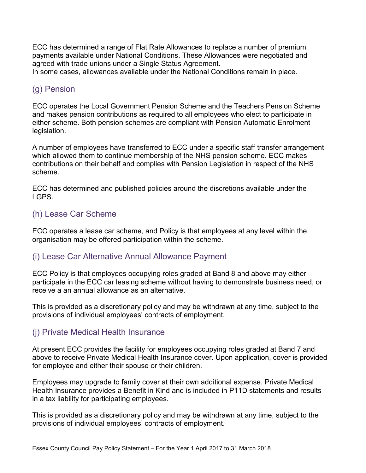ECC has determined a range of Flat Rate Allowances to replace a number of premium payments available under National Conditions. These Allowances were negotiated and agreed with trade unions under a Single Status Agreement.

In some cases, allowances available under the National Conditions remain in place.

#### (g) Pension

ECC operates the Local Government Pension Scheme and the Teachers Pension Scheme and makes pension contributions as required to all employees who elect to participate in either scheme. Both pension schemes are compliant with Pension Automatic Enrolment legislation.

A number of employees have transferred to ECC under a specific staff transfer arrangement which allowed them to continue membership of the NHS pension scheme. ECC makes contributions on their behalf and complies with Pension Legislation in respect of the NHS scheme.

ECC has determined and published policies around the discretions available under the LGPS.

# (h) Lease Car Scheme

ECC operates a lease car scheme, and Policy is that employees at any level within the organisation may be offered participation within the scheme.

#### (i) Lease Car Alternative Annual Allowance Payment

ECC Policy is that employees occupying roles graded at Band 8 and above may either participate in the ECC car leasing scheme without having to demonstrate business need, or receive a an annual allowance as an alternative.

This is provided as a discretionary policy and may be withdrawn at any time, subject to the provisions of individual employees' contracts of employment.

# (j) Private Medical Health Insurance

At present ECC provides the facility for employees occupying roles graded at Band 7 and above to receive Private Medical Health Insurance cover. Upon application, cover is provided for employee and either their spouse or their children.

Employees may upgrade to family cover at their own additional expense. Private Medical Health Insurance provides a Benefit in Kind and is included in P11D statements and results in a tax liability for participating employees.

This is provided as a discretionary policy and may be withdrawn at any time, subject to the provisions of individual employees' contracts of employment.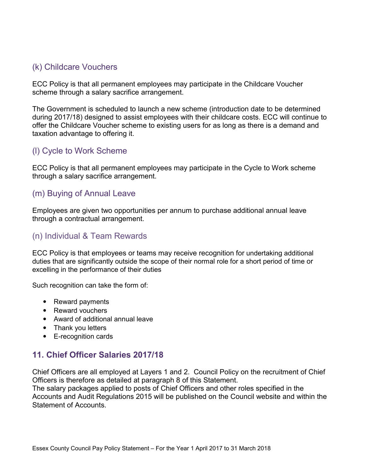# (k) Childcare Vouchers

ECC Policy is that all permanent employees may participate in the Childcare Voucher scheme through a salary sacrifice arrangement.

The Government is scheduled to launch a new scheme (introduction date to be determined during 2017/18) designed to assist employees with their childcare costs. ECC will continue to offer the Childcare Voucher scheme to existing users for as long as there is a demand and taxation advantage to offering it.

# (l) Cycle to Work Scheme

ECC Policy is that all permanent employees may participate in the Cycle to Work scheme through a salary sacrifice arrangement.

## (m) Buying of Annual Leave

Employees are given two opportunities per annum to purchase additional annual leave through a contractual arrangement.

#### (n) Individual & Team Rewards

ECC Policy is that employees or teams may receive recognition for undertaking additional duties that are significantly outside the scope of their normal role for a short period of time or excelling in the performance of their duties

Such recognition can take the form of:

- Reward payments
- Reward vouchers
- Award of additional annual leave
- Thank you letters
- E-recognition cards

# **11. Chief Officer Salaries 2017/18**

Chief Officers are all employed at Layers 1 and 2. Council Policy on the recruitment of Chief Officers is therefore as detailed at paragraph 8 of this Statement.

The salary packages applied to posts of Chief Officers and other roles specified in the Accounts and Audit Regulations 2015 will be published on the Council website and within the Statement of Accounts.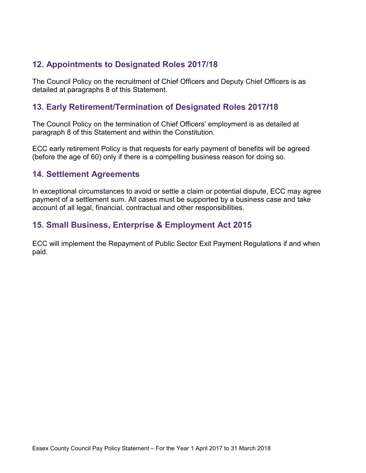# **12. Appointments to Designated Roles 2017/18**

The Council Policy on the recruitment of Chief Officers and Deputy Chief Officers is as detailed at paragraphs 8 of this Statement.

#### **13. Early Retirement/Termination of Designated Roles 2017/18**

The Council Policy on the termination of Chief Officers' employment is as detailed at paragraph 8 of this Statement and within the Constitution.

ECC early retirement Policy is that requests for early payment of benefits will be agreed (before the age of 60) only if there is a compelling business reason for doing so.

#### **14. Settlement Agreements**

In exceptional circumstances to avoid or settle a claim or potential dispute, ECC may agree payment of a settlement sum. All cases must be supported by a business case and take account of all legal, financial, contractual and other responsibilities.

# **15. Small Business, Enterprise & Employment Act 2015**

ECC will implement the Repayment of Public Sector Exit Payment Regulations if and when paid.